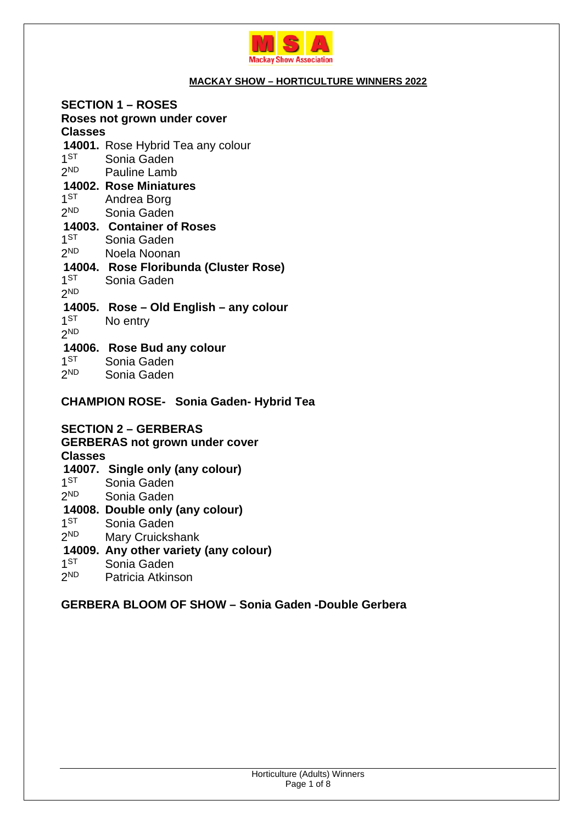

### **MACKAY SHOW – HORTICULTURE WINNERS 2022**

**SECTION 1 – ROSES Roses not grown under cover Classes 14001.** Rose Hybrid Tea any colour  $1<sub>ST</sub>$ Sonia Gaden  $2<sub>ND</sub>$ Pauline Lamb **14002. Rose Miniatures**   $1<sub>ST</sub>$ Andrea Borg  $2<sup>ND</sup>$ Sonia Gaden **14003. Container of Roses**   $1ST$ Sonia Gaden  $2<sub>ND</sub>$ Noela Noonan **14004. Rose Floribunda (Cluster Rose)**   $1^{ST}$ Sonia Gaden 2 ND **14005. Rose – Old English – any colour**   $1^{ST}$ No entry 2 ND **14006. Rose Bud any colour**   $1^{ST}$ Sonia Gaden  $2<sub>ND</sub>$ Sonia Gaden

**CHAMPION ROSE- Sonia Gaden- Hybrid Tea** 

### **SECTION 2 – GERBERAS**

**GERBERAS not grown under cover** 

## **Classes**

**14007. Single only (any colour)**   $1<sub>ST</sub>$ Sonia Gaden

 $2<sub>ND</sub>$ Sonia Gaden

### **14008. Double only (any colour)**

- $1<sup>ST</sup>$ Sonia Gaden
- $2<sub>ND</sub>$ Mary Cruickshank

## **14009. Any other variety (any colour)**

- $1^{ST}$ Sonia Gaden
- $2<sub>ND</sub>$ Patricia Atkinson

## **GERBERA BLOOM OF SHOW – Sonia Gaden -Double Gerbera**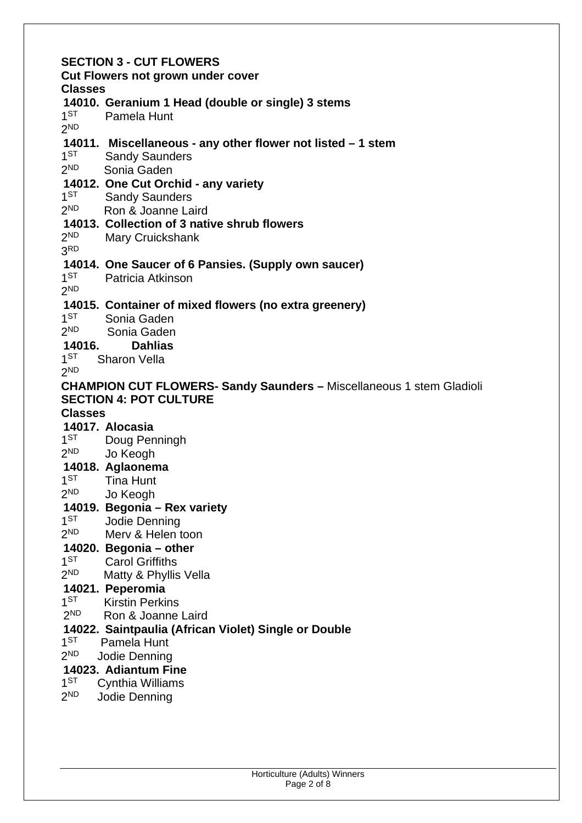#### **SECTION 3 - CUT FLOWERS Cut Flowers not grown under cover Classes 14010. Geranium 1 Head (double or single) 3 stems**   $1<sub>1</sub>$ Pamela Hunt 2 ND **14011. Miscellaneous - any other flower not listed – 1 stem**   $1<sub>1</sub>$ **Sandy Saunders**  $2<sub>ND</sub>$ Sonia Gaden **14012. One Cut Orchid - any variety**   $1<sub>ST</sub>$ **Sandy Saunders**  $2<sub>ND</sub>$ Ron & Joanne Laird **14013. Collection of 3 native shrub flowers**   $2<sub>ND</sub>$ Mary Cruickshank 3 RD **14014. One Saucer of 6 Pansies. (Supply own saucer)**   $1<sup>ST</sup>$ Patricia Atkinson 2 ND **14015. Container of mixed flowers (no extra greenery)**   $1^{ST}$ Sonia Gaden  $2<sub>ND</sub>$ Sonia Gaden **14016. Dahlias**   $1<sup>ST</sup>$ Sharon Vella 2 ND **CHAMPION CUT FLOWERS- Sandy Saunders –** Miscellaneous 1 stem Gladioli **SECTION 4: POT CULTURE Classes 14017. Alocasia**   $1<sub>1</sub>$ Doug Penningh  $2<sub>ND</sub>$ Jo Keogh **14018. Aglaonema**   $1<sup>ST</sup>$ **Tina Hunt**  $2<sub>ND</sub>$ Jo Keogh **14019. Begonia – Rex variety**   $1^{ST}$ Jodie Denning  $2<sub>ND</sub>$ Merv & Helen toon **14020. Begonia – other**   $1^{ST}$ **Carol Griffiths**  $2<sup>ND</sup>$ Matty & Phyllis Vella **14021. Peperomia**   $1<sup>ST</sup>$ **Kirstin Perkins**  $2<sub>ND</sub>$ Ron & Joanne Laird **14022. Saintpaulia (African Violet) Single or Double**   $1^{\text{ST}}$ Pamela Hunt  $2<sub>ND</sub>$ Jodie Denning **14023. Adiantum Fine**   $1<sup>ST</sup>$ Cynthia Williams  $2<sub>ND</sub>$ Jodie Denning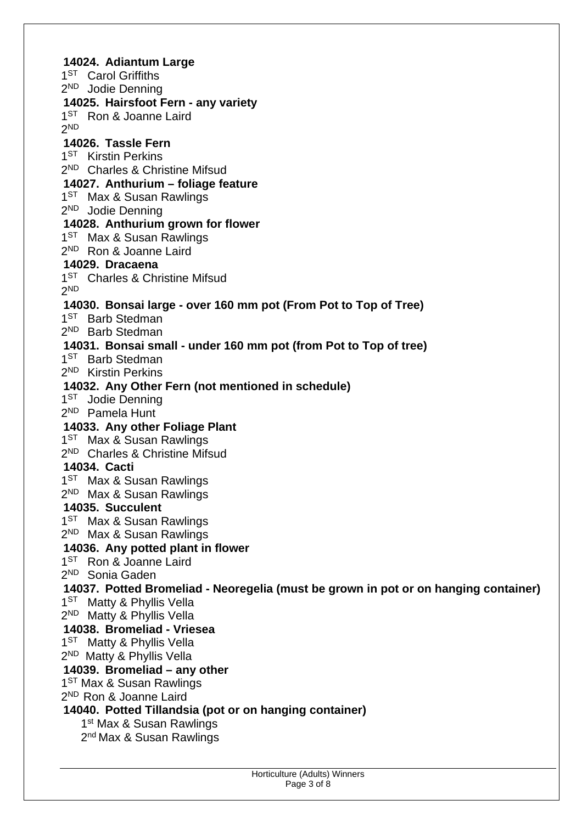**14024. Adiantum Large**  1<sup>ST</sup> Carol Griffiths 2<sup>ND</sup> Jodie Denning **14025. Hairsfoot Fern - any variety**  1<sup>ST</sup> Ron & Joanne Laird 2 ND **14026. Tassle Fern**  1<sup>ST</sup> Kirstin Perkins 2<sup>ND</sup> Charles & Christine Mifsud **14027. Anthurium – foliage feature**  1<sup>ST</sup> Max & Susan Rawlings 2<sup>ND</sup> Jodie Denning **14028. Anthurium grown for flower**  1<sup>ST</sup> Max & Susan Rawlings 2<sup>ND</sup> Ron & Joanne Laird **14029. Dracaena**  1<sup>ST</sup> Charles & Christine Mifsud 2 ND **14030. Bonsai large - over 160 mm pot (From Pot to Top of Tree)**  1<sup>ST</sup> Barb Stedman 2 ND Barb Stedman **14031. Bonsai small - under 160 mm pot (from Pot to Top of tree)**  1<sup>ST</sup> Barb Stedman 2<sup>ND</sup> Kirstin Perkins **14032. Any Other Fern (not mentioned in schedule)**  1<sup>ST</sup> Jodie Denning 2 ND Pamela Hunt **14033. Any other Foliage Plant**  1<sup>ST</sup> Max & Susan Rawlings 2<sup>ND</sup> Charles & Christine Mifsud **14034. Cacti**  1<sup>ST</sup> Max & Susan Rawlings 2<sup>ND</sup> Max & Susan Rawlings **14035. Succulent**  1<sup>ST</sup> Max & Susan Rawlings 2<sup>ND</sup> Max & Susan Rawlings **14036. Any potted plant in flower**  1<sup>ST</sup> Ron & Joanne Laird 2 ND Sonia Gaden **14037. Potted Bromeliad - Neoregelia (must be grown in pot or on hanging container)**  1<sup>ST</sup> Matty & Phyllis Vella 2<sup>ND</sup> Matty & Phyllis Vella **14038. Bromeliad - Vriesea**  1<sup>ST</sup> Matty & Phyllis Vella 2<sup>ND</sup> Matty & Phyllis Vella **14039. Bromeliad – any other**  1<sup>ST</sup> Max & Susan Rawlings 2<sup>ND</sup> Ron & Joanne Laird **14040. Potted Tillandsia (pot or on hanging container)**  1<sup>st</sup> Max & Susan Rawlings 2<sup>nd</sup> Max & Susan Rawlings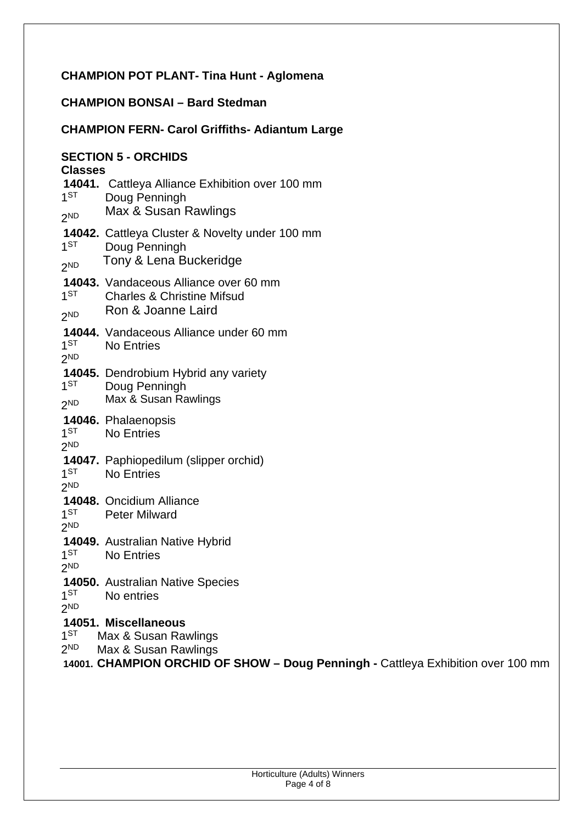# **CHAMPION POT PLANT- Tina Hunt - Aglomena**

# **CHAMPION BONSAI – Bard Stedman**

## **CHAMPION FERN- Carol Griffiths- Adiantum Large**

| <b>SECTION 5 - ORCHIDS</b><br><b>Classes</b> |                                                                                                             |  |
|----------------------------------------------|-------------------------------------------------------------------------------------------------------------|--|
| $1^{ST}$<br>2 <sub>ND</sub>                  | 14041. Cattleya Alliance Exhibition over 100 mm<br>Doug Penningh<br>Max & Susan Rawlings                    |  |
| 1 <sub>ST</sub><br>2 <sub>ND</sub>           | 14042. Cattleya Cluster & Novelty under 100 mm<br>Doug Penningh<br>Tony & Lena Buckeridge                   |  |
| 1 <sub>ST</sub><br>2 <sub>ND</sub>           | <b>14043.</b> Vandaceous Alliance over 60 mm<br><b>Charles &amp; Christine Mifsud</b><br>Ron & Joanne Laird |  |
| 1 <sup>ST</sup>                              | <b>14044.</b> Vandaceous Alliance under 60 mm                                                               |  |
| 2 <sub>ND</sub>                              | <b>No Entries</b>                                                                                           |  |
| 1 <sub>ST</sub><br>2 <sub>ND</sub>           | 14045. Dendrobium Hybrid any variety<br>Doug Penningh<br>Max & Susan Rawlings                               |  |
| 1 <sup>ST</sup>                              | 14046. Phalaenopsis                                                                                         |  |
| 2 <sub>ND</sub>                              | <b>No Entries</b>                                                                                           |  |
| 1 <sub>ST</sub>                              | <b>14047.</b> Paphiopedilum (slipper orchid)                                                                |  |
| 2 <sub>ND</sub>                              | <b>No Entries</b>                                                                                           |  |
| $1^{ST}$                                     | 14048. Oncidium Alliance                                                                                    |  |
| 2ND                                          | <b>Peter Milward</b>                                                                                        |  |
| 1 <sup>ST</sup>                              | <b>14049.</b> Australian Native Hybrid                                                                      |  |
| 2 <sub>ND</sub>                              | <b>No Entries</b>                                                                                           |  |
| 1 <sup>ST</sup>                              | <b>14050.</b> Australian Native Species                                                                     |  |
| 2ND                                          | No entries                                                                                                  |  |
| 1 <sub>ST</sub><br>2ND                       | 14051. Miscellaneous<br>Max & Susan Rawlings<br>Max & Susan Rawlings<br>σn<br>וגוהווה הר                    |  |

**14001. CHAMPION ORCHID OF SHOW – Doug Penningh -** Cattleya Exhibition over 100 mm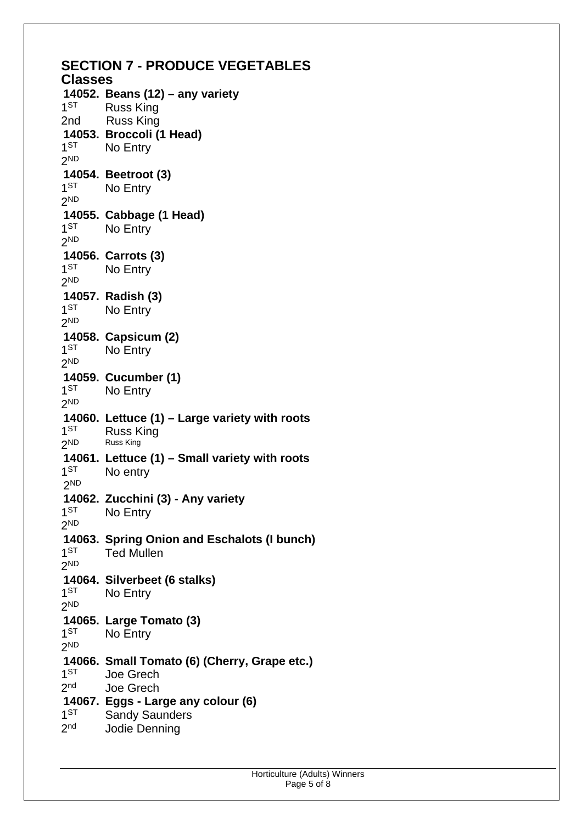| <b>SECTION 7 - PRODUCE VEGETABLES</b> |                                               |  |
|---------------------------------------|-----------------------------------------------|--|
| <b>Classes</b>                        |                                               |  |
| 1 <sup>ST</sup>                       | 14052. Beans (12) - any variety<br>Russ King  |  |
| 2nd                                   | <b>Russ King</b>                              |  |
|                                       | 14053. Broccoli (1 Head)                      |  |
| 1 <sub>ST</sub>                       | No Entry                                      |  |
| 2 <sub>ND</sub>                       |                                               |  |
|                                       | 14054. Beetroot (3)                           |  |
| 1 <sub>ST</sub>                       | No Entry                                      |  |
| 2 <sup>ND</sup>                       |                                               |  |
|                                       | 14055. Cabbage (1 Head)                       |  |
| 1 <sub>ST</sub>                       | No Entry                                      |  |
| 2 <sub>ND</sub>                       |                                               |  |
|                                       |                                               |  |
| 1 <sub>ST</sub>                       | 14056. Carrots (3)                            |  |
|                                       | No Entry                                      |  |
| 2 <sup>ND</sup>                       |                                               |  |
|                                       | 14057. Radish (3)                             |  |
| 1 <sub>ST</sub>                       | No Entry                                      |  |
| 2 <sub>ND</sub>                       |                                               |  |
|                                       | 14058. Capsicum (2)                           |  |
| 1 <sub>ST</sub>                       | No Entry                                      |  |
| 2 <sup>ND</sup>                       |                                               |  |
|                                       | 14059. Cucumber (1)                           |  |
| 1 <sub>ST</sub>                       | No Entry                                      |  |
| 2 <sub>ND</sub>                       |                                               |  |
|                                       | 14060. Lettuce (1) – Large variety with roots |  |
| 1 <sub>ST</sub>                       | <b>Russ King</b>                              |  |
| 2 <sup>ND</sup>                       | Russ King                                     |  |
|                                       | 14061. Lettuce (1) – Small variety with roots |  |
| 1 <sub>ST</sub>                       | No entry                                      |  |
| 2 <sup>ND</sup>                       |                                               |  |
|                                       | 14062. Zucchini (3) - Any variety             |  |
| 1 <sup>ST</sup>                       | No Entry                                      |  |
| 2 <sub>ND</sub>                       |                                               |  |
|                                       | 14063. Spring Onion and Eschalots (I bunch)   |  |
| 1 <sub>ST</sub>                       | <b>Ted Mullen</b>                             |  |
| 2 <sub>ND</sub>                       |                                               |  |
|                                       | 14064. Silverbeet (6 stalks)                  |  |
| 1 <sup>ST</sup>                       | No Entry                                      |  |
| 2 <sub>ND</sub>                       |                                               |  |
|                                       | 14065. Large Tomato (3)                       |  |
| 1 <sup>ST</sup>                       | No Entry                                      |  |
| 2 <sub>ND</sub>                       |                                               |  |
|                                       | 14066. Small Tomato (6) (Cherry, Grape etc.)  |  |
| 1 <sub>ST</sub>                       | Joe Grech                                     |  |
| 2 <sub>nd</sub>                       | Joe Grech                                     |  |
|                                       | 14067. Eggs - Large any colour (6)            |  |
| 1 <sup>ST</sup>                       | <b>Sandy Saunders</b>                         |  |
| 2 <sub>nd</sub>                       | Jodie Denning                                 |  |
|                                       |                                               |  |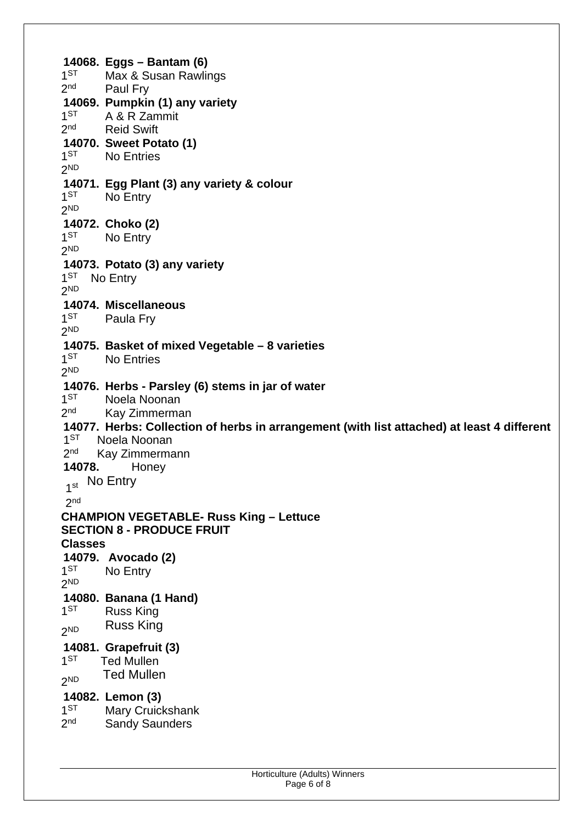**14068. Eggs – Bantam (6)**   $1<sub>ST</sub>$ Max & Susan Rawlings  $2<sub>nd</sub>$ Paul Fry **14069. Pumpkin (1) any variety**   $1^{ST}$ A & R Zammit  $2<sub>nd</sub>$ **Reid Swift 14070. Sweet Potato (1)**   $1<sub>1</sub>$ No Entries 2 ND **14071. Egg Plant (3) any variety & colour**   $1<sub>ST</sub>$ No Entry 2 ND **14072. Choko (2)**   $1<sub>1</sub>$ **No Entry** 2 ND **14073. Potato (3) any variety**  1<sup>ST</sup> No Entry 2 ND **14074. Miscellaneous**   $1^{ST}$ Paula Fry 2 ND **14075. Basket of mixed Vegetable – 8 varieties**   $1<sup>ST</sup>$ **No Entries** 2 ND **14076. Herbs - Parsley (6) stems in jar of water**   $1<sub>ST</sub>$ Noela Noonan  $2<sub>nd</sub>$ Kay Zimmerman **14077. Herbs: Collection of herbs in arrangement (with list attached) at least 4 different**   $1<sub>ST</sub>$ Noela Noonan  $2<sub>nd</sub>$ Kay Zimmermann **14078.** Honey 1<sup>st</sup> No Entry  $2<sup>nd</sup>$ **CHAMPION VEGETABLE- Russ King – Lettuce SECTION 8 - PRODUCE FRUIT Classes 14079. Avocado (2)**   $1<sub>ST</sub>$ No Entry 2 ND **14080. Banana (1 Hand)**   $1<sub>ST</sub>$ **Russ King**  $2<sup>ND</sup>$ **Russ King 14081. Grapefruit (3)**   $1<sup>ST</sup>$ **Ted Mullen**  $2<sub>ND</sub>$ **Ted Mullen 14082. Lemon (3)**   $1<sup>ST</sup>$ Mary Cruickshank  $2<sub>nd</sub>$ **Sandy Saunders**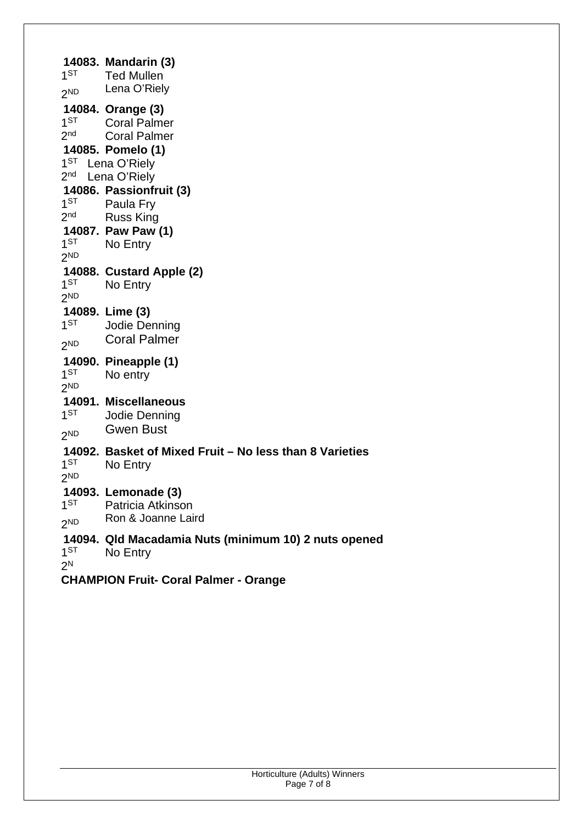**14083. Mandarin (3)**   $1<sup>ST</sup>$ **Ted Mullen**  $2ND$ Lena O'Riely **14084. Orange (3)**   $1<sup>ST</sup>$ Coral Palmer  $2<sub>nd</sub>$ Coral Palmer **14085. Pomelo (1)**  1<sup>ST</sup> Lena O'Riely 2<sup>nd</sup> Lena O'Riely **14086. Passionfruit (3)**   $1^{ST}$ Paula Fry  $2<sub>nd</sub>$ **Russ King 14087. Paw Paw (1)**   $1<sup>ST</sup>$ No Entry 2 ND **14088. Custard Apple (2)**   $1<sup>ST</sup>$ No Entry 2 ND **14089. Lime (3)**   $1ST$ Jodie Denning  $2ND$ **Coral Palmer 14090. Pineapple (1)**   $1<sup>ST</sup>$ No entry 2 ND **14091. Miscellaneous**   $1<sup>ST</sup>$ Jodie Denning  $2ND$ **Gwen Bust 14092. Basket of Mixed Fruit – No less than 8 Varieties**   $1ST$ No Entry 2 ND **14093. Lemonade (3)**   $1<sub>ST</sub>$ Patricia Atkinson  $2<sub>ND</sub>$ Ron & Joanne Laird **14094. Qld Macadamia Nuts (minimum 10) 2 nuts opened**   $1^{ST}$ No Entry 2 N

**CHAMPION Fruit- Coral Palmer - Orange**